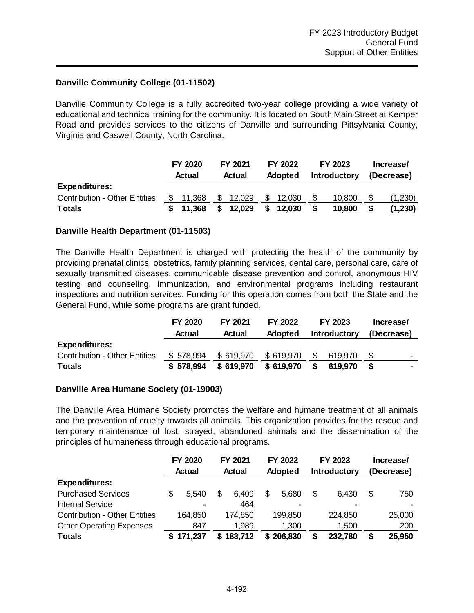## **Danville Community College (01-11502)**

Danville Community College is a fully accredited two-year college providing a wide variety of educational and technical training for the community. It is located on South Main Street at Kemper Road and provides services to the citizens of Danville and surrounding Pittsylvania County, Virginia and Caswell County, North Carolina.

|                                      |     | FY 2020 |        | FY 2021 |         |        | FY 2022             |        | FY 2023    | Increase/ |  |  |
|--------------------------------------|-----|---------|--------|---------|---------|--------|---------------------|--------|------------|-----------|--|--|
|                                      |     | Actual  | Actual |         | Adopted |        | <b>Introductory</b> |        | (Decrease) |           |  |  |
| <b>Expenditures:</b>                 |     |         |        |         |         |        |                     |        |            |           |  |  |
| <b>Contribution - Other Entities</b> | SS. | 11.368  | - S    | 12,029  | \$      | 12,030 |                     | 10,800 |            | (1,230)   |  |  |
| <b>Totals</b>                        |     | 11.368  | S.     | 12,029  | \$      | 12,030 |                     | 10,800 |            | (1,230)   |  |  |

## **Danville Health Department (01-11503)**

The Danville Health Department is charged with protecting the health of the community by providing prenatal clinics, obstetrics, family planning services, dental care, personal care, care of sexually transmitted diseases, communicable disease prevention and control, anonymous HIV testing and counseling, immunization, and environmental programs including restaurant inspections and nutrition services. Funding for this operation comes from both the State and the General Fund, while some programs are grant funded.

|                                      | FY 2020   | FY 2021   | FY 2022        |     | FY 2023             | Increase/  |                          |
|--------------------------------------|-----------|-----------|----------------|-----|---------------------|------------|--------------------------|
|                                      | Actual    | Actual    | <b>Adopted</b> |     | <b>Introductory</b> | (Decrease) |                          |
| <b>Expenditures:</b>                 |           |           |                |     |                     |            |                          |
| <b>Contribution - Other Entities</b> | \$578,994 | \$619,970 | \$619,970      | \$. | 619.970             | \$.        | $\overline{\phantom{0}}$ |
| <b>Totals</b>                        | \$578.994 | \$619,970 | \$619,970      |     | 619.970             |            |                          |

## **Danville Area Humane Society (01-19003)**

The Danville Area Humane Society promotes the welfare and humane treatment of all animals and the prevention of cruelty towards all animals. This organization provides for the rescue and temporary maintenance of lost, strayed, abandoned animals and the dissemination of the principles of humaneness through educational programs.

|                                      | FY 2020<br><b>Actual</b> |                | FY 2021<br>Actual |         | <b>FY 2022</b><br>Adopted |           | FY 2023<br><b>Introductory</b> |         | Increase/<br>(Decrease) |
|--------------------------------------|--------------------------|----------------|-------------------|---------|---------------------------|-----------|--------------------------------|---------|-------------------------|
| <b>Expenditures:</b>                 |                          |                |                   |         |                           |           |                                |         |                         |
| <b>Purchased Services</b>            |                          | 5.540          | S                 | 6.409   |                           | 5,680     | \$                             | 6.430   | \$<br>750               |
| <b>Internal Service</b>              |                          | $\blacksquare$ |                   | 464     |                           |           |                                |         |                         |
| <b>Contribution - Other Entities</b> |                          | 164,850        |                   | 174,850 |                           | 199,850   |                                | 224,850 | 25,000                  |
| <b>Other Operating Expenses</b>      |                          | 847            |                   | 1,989   |                           | 1,300     |                                | 1,500   | 200                     |
| <b>Totals</b>                        |                          | 171,237        | S                 | 183,712 |                           | \$206,830 |                                | 232,780 | 25,950                  |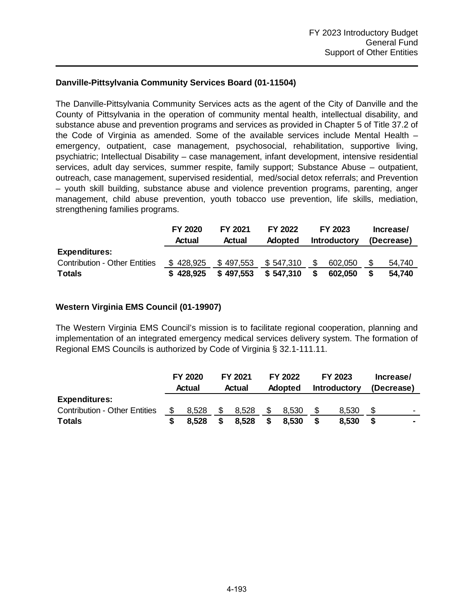## **Danville-Pittsylvania Community Services Board (01-11504)**

The Danville-Pittsylvania Community Services acts as the agent of the City of Danville and the County of Pittsylvania in the operation of community mental health, intellectual disability, and substance abuse and prevention programs and services as provided in Chapter 5 of Title 37.2 of the Code of Virginia as amended. Some of the available services include Mental Health – emergency, outpatient, case management, psychosocial, rehabilitation, supportive living, psychiatric; Intellectual Disability – case management, infant development, intensive residential services, adult day services, summer respite, family support; Substance Abuse – outpatient, outreach, case management, supervised residential, med/social detox referrals; and Prevention – youth skill building, substance abuse and violence prevention programs, parenting, anger management, child abuse prevention, youth tobacco use prevention, life skills, mediation, strengthening families programs.

|                                      | FY 2020   | FY 2021   | FY 2022   |                     | FY 2023 | Increase/ |            |  |
|--------------------------------------|-----------|-----------|-----------|---------------------|---------|-----------|------------|--|
|                                      | Actual    | Actual    | Adopted   | <b>Introductory</b> |         |           | (Decrease) |  |
| <b>Expenditures:</b>                 |           |           |           |                     |         |           |            |  |
| <b>Contribution - Other Entities</b> | \$428,925 | \$497,553 | \$547.310 | \$.                 | 602,050 |           | 54,740     |  |
| <b>Totals</b>                        | \$428.925 | \$497,553 | \$547,310 |                     | 602,050 |           | 54.740     |  |

## **Western Virginia EMS Council (01-19907)**

The Western Virginia EMS Council's mission is to facilitate regional cooperation, planning and implementation of an integrated emergency medical services delivery system. The formation of Regional EMS Councils is authorized by Code of Virginia § 32.1-111.11.

|                                      |  | FY 2020<br>Actual |  | FY 2021 |  |                | FY 2022 |                     | FY 2023 | Increase/                |  |  |
|--------------------------------------|--|-------------------|--|---------|--|----------------|---------|---------------------|---------|--------------------------|--|--|
|                                      |  |                   |  | Actual  |  | <b>Adopted</b> |         | <b>Introductory</b> |         | (Decrease)               |  |  |
| <b>Expenditures:</b>                 |  |                   |  |         |  |                |         |                     |         |                          |  |  |
| <b>Contribution - Other Entities</b> |  | 8.528             |  | 8,528   |  | 8,530          |         | 8.530               |         | $\overline{\phantom{0}}$ |  |  |
| <b>Totals</b>                        |  | 8.528             |  | 8,528   |  | 8,530          |         | 8.530               |         |                          |  |  |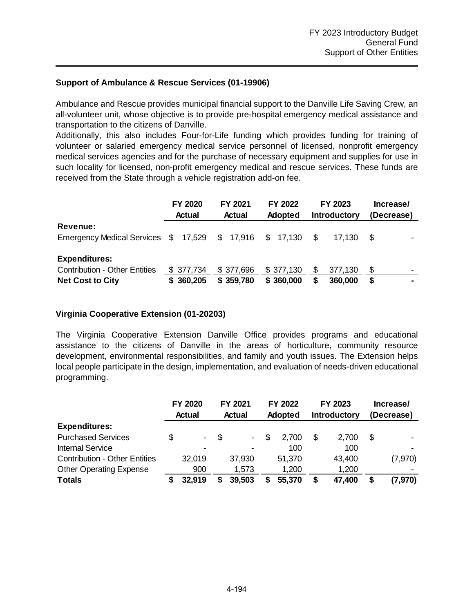## **Support of Ambulance & Rescue Services (01-19906)**

Ambulance and Rescue provides municipal financial support to the Danville Life Saving Crew, an all-volunteer unit, whose objective is to provide pre-hospital emergency medical assistance and transportation to the citizens of Danville.

Additionally, this also includes Four-for-Life funding which provides funding for training of volunteer or salaried emergency medical service personnel of licensed, nonprofit emergency medical services agencies and for the purchase of necessary equipment and supplies for use in such locality for licensed, non-profit emergency medical and rescue services. These funds are received from the State through a vehicle registration add-on fee.

|                                                | <b>FY 2020</b><br><b>Actual</b> | FY 2021<br><b>Actual</b> | <b>FY 2022</b><br><b>Adopted</b> | FY 2023<br><b>Introductory</b> | Increase/<br>(Decrease) |
|------------------------------------------------|---------------------------------|--------------------------|----------------------------------|--------------------------------|-------------------------|
| Revenue:                                       |                                 |                          |                                  |                                |                         |
| Emergency Medical Services \$ 17,529 \$ 17,916 |                                 |                          | \$17,130                         | \$.<br>17.130                  | \$.                     |
| <b>Expenditures:</b>                           |                                 |                          |                                  |                                |                         |
| <b>Contribution - Other Entities</b>           | \$377,734                       | \$377,696                | \$377,130                        | \$<br>377,130                  | \$<br>$\blacksquare$    |
| <b>Net Cost to City</b>                        | \$360,205                       | \$359,780                | \$360,000                        | 360,000<br>S                   | S                       |

## **Virginia Cooperative Extension (01-20203)**

The Virginia Cooperative Extension Danville Office provides programs and educational assistance to the citizens of Danville in the areas of horticulture, community resource development, environmental responsibilities, and family and youth issues. The Extension helps local people participate in the design, implementation, and evaluation of needs-driven educational programming.

|                                      |               | <b>FY 2020</b>           |      | FY 2021                  | <b>FY 2022</b> |                | FY 2023 |                     | Increase/ |                          |  |
|--------------------------------------|---------------|--------------------------|------|--------------------------|----------------|----------------|---------|---------------------|-----------|--------------------------|--|
|                                      | <b>Actual</b> |                          |      | <b>Actual</b>            |                | <b>Adopted</b> |         | <b>Introductory</b> |           | (Decrease)               |  |
| <b>Expenditures:</b>                 |               |                          |      |                          |                |                |         |                     |           |                          |  |
| <b>Purchased Services</b>            | S             | $\sim$                   | - \$ | $\overline{\phantom{0}}$ | \$.            | 2.700          | S       | 2.700               | S         | $\overline{\phantom{0}}$ |  |
| <b>Internal Service</b>              |               | $\overline{\phantom{0}}$ |      | $\blacksquare$           |                | 100            |         | 100                 |           |                          |  |
| <b>Contribution - Other Entities</b> |               | 32,019                   |      | 37,930                   |                | 51,370         |         | 43,400              |           | (7,970)                  |  |
| <b>Other Operating Expense</b>       |               | 900                      |      | 1,573                    |                | 1,200          |         | 1,200               |           |                          |  |
| <b>Totals</b>                        |               | 32,919                   |      | 39,503                   |                | 55,370         |         | 47,400              | S         | (7, 970)                 |  |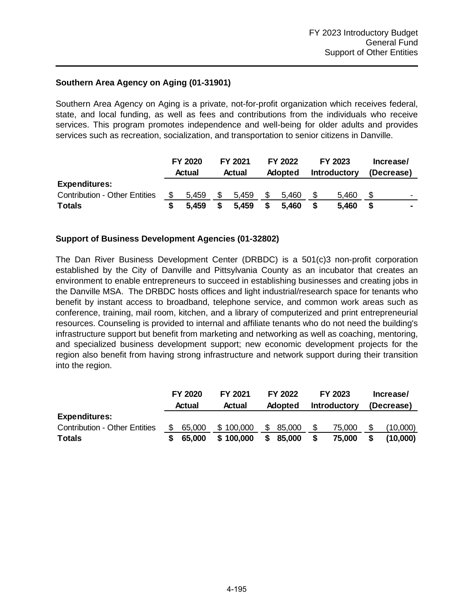## **Southern Area Agency on Aging (01-31901)**

Southern Area Agency on Aging is a private, not-for-profit organization which receives federal, state, and local funding, as well as fees and contributions from the individuals who receive services. This program promotes independence and well-being for older adults and provides services such as recreation, socialization, and transportation to senior citizens in Danville.

|                                      | <b>FY 2020</b><br>Actual | FY 2021<br>Actual | FY 2022<br><b>Adopted</b> | FY 2023<br><b>Introductory</b> |  | Increase/<br>(Decrease)  |
|--------------------------------------|--------------------------|-------------------|---------------------------|--------------------------------|--|--------------------------|
| <b>Expenditures:</b>                 |                          |                   |                           |                                |  |                          |
| <b>Contribution - Other Entities</b> | \$<br>5.459              | 5.459             | 5.460                     | 5.460                          |  | $\overline{\phantom{0}}$ |
| <b>Totals</b>                        | 5.459                    | 5.459             | 5.460                     | 5,460                          |  |                          |

## **Support of Business Development Agencies (01-32802)**

The Dan River Business Development Center (DRBDC) is a 501(c)3 non-profit corporation established by the City of Danville and Pittsylvania County as an incubator that creates an environment to enable entrepreneurs to succeed in establishing businesses and creating jobs in the Danville MSA. The DRBDC hosts offices and light industrial/research space for tenants who benefit by instant access to broadband, telephone service, and common work areas such as conference, training, mail room, kitchen, and a library of computerized and print entrepreneurial resources. Counseling is provided to internal and affiliate tenants who do not need the building's infrastructure support but benefit from marketing and networking as well as coaching, mentoring, and specialized business development support; new economic development projects for the region also benefit from having strong infrastructure and network support during their transition into the region.

|                                      | FY 2020      |        | FY 2021<br>FY 2022 |                |        |   | FY 2023             | Increase/  |          |  |
|--------------------------------------|--------------|--------|--------------------|----------------|--------|---|---------------------|------------|----------|--|
|                                      |              | Actual |                    | <b>Adopted</b> |        |   | <b>Introductory</b> | (Decrease) |          |  |
| <b>Expenditures:</b>                 |              |        |                    |                |        |   |                     |            |          |  |
| <b>Contribution - Other Entities</b> | 65,000<br>S. |        | \$100,000          | \$             | 85,000 | S | 75,000              |            | (10,000) |  |
| <b>Totals</b>                        | 65.000       |        | \$100,000          | S              | 85,000 |   | 75,000              |            | (10,000) |  |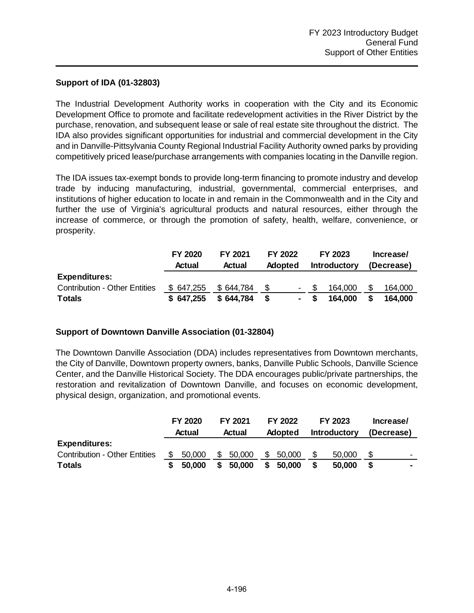## **Support of IDA (01-32803)**

The Industrial Development Authority works in cooperation with the City and its Economic Development Office to promote and facilitate redevelopment activities in the River District by the purchase, renovation, and subsequent lease or sale of real estate site throughout the district. The IDA also provides significant opportunities for industrial and commercial development in the City and in Danville-Pittsylvania County Regional Industrial Facility Authority owned parks by providing competitively priced lease/purchase arrangements with companies locating in the Danville region.

The IDA issues tax-exempt bonds to provide long-term financing to promote industry and develop trade by inducing manufacturing, industrial, governmental, commercial enterprises, and institutions of higher education to locate in and remain in the Commonwealth and in the City and further the use of Virginia's agricultural products and natural resources, either through the increase of commerce, or through the promotion of safety, health, welfare, convenience, or prosperity.

|                                      | FY 2020    | FY 2021   | FY 2022 |                |     | FY 2023             | Increase/  |         |  |
|--------------------------------------|------------|-----------|---------|----------------|-----|---------------------|------------|---------|--|
|                                      | Actual     | Actual    | Adopted |                |     | <b>Introductory</b> | (Decrease) |         |  |
| <b>Expenditures:</b>                 |            |           |         |                |     |                     |            |         |  |
| <b>Contribution - Other Entities</b> | \$ 647,255 | \$644,784 |         | $\blacksquare$ |     | 164,000             |            | 164,000 |  |
| <b>Totals</b>                        | \$647,255  | \$644,784 |         | $\blacksquare$ | - S | 164,000             |            | 164.000 |  |

## **Support of Downtown Danville Association (01-32804)**

The Downtown Danville Association (DDA) includes representatives from Downtown merchants, the City of Danville, Downtown property owners, banks, Danville Public Schools, Danville Science Center, and the Danville Historical Society. The DDA encourages public/private partnerships, the restoration and revitalization of Downtown Danville, and focuses on economic development, physical design, organization, and promotional events.

|                                      |     | FY 2020<br>Actual |   | FY 2021<br>Actual |   | FY 2022        |  | FY 2023             |            | Increase/                |
|--------------------------------------|-----|-------------------|---|-------------------|---|----------------|--|---------------------|------------|--------------------------|
|                                      |     |                   |   |                   |   | <b>Adopted</b> |  | <b>Introductory</b> | (Decrease) |                          |
| <b>Expenditures:</b>                 |     |                   |   |                   |   |                |  |                     |            |                          |
| <b>Contribution - Other Entities</b> | \$. | 50,000            | S | 50,000            | S | 50,000         |  | 50,000              |            | $\overline{\phantom{0}}$ |
| <b>Totals</b>                        |     | 50,000            |   | 50,000            |   | 50,000         |  | 50.000              |            |                          |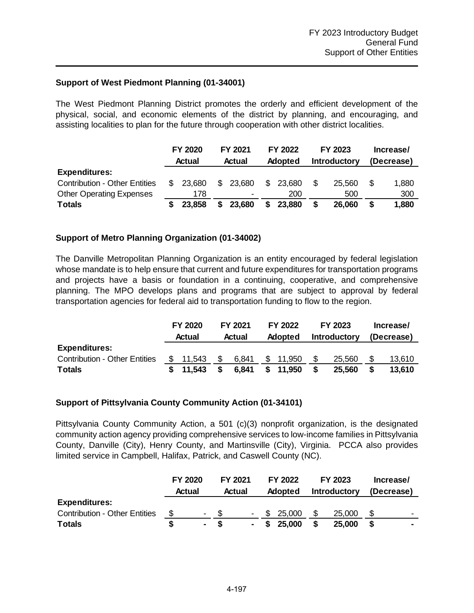## **Support of West Piedmont Planning (01-34001)**

The West Piedmont Planning District promotes the orderly and efficient development of the physical, social, and economic elements of the district by planning, and encouraging, and assisting localities to plan for the future through cooperation with other district localities.

|                                      |     | FY 2020 |        | FY 2021        |                | FY 2022 |                     | FY 2023 |            | Increase/ |
|--------------------------------------|-----|---------|--------|----------------|----------------|---------|---------------------|---------|------------|-----------|
|                                      |     | Actual  | Actual |                | <b>Adopted</b> |         | <b>Introductory</b> |         | (Decrease) |           |
| <b>Expenditures:</b>                 |     |         |        |                |                |         |                     |         |            |           |
| <b>Contribution - Other Entities</b> | \$. | 23.680  | \$     | 23,680         | \$.            | 23.680  | \$.                 | 25.560  |            | 1,880     |
| <b>Other Operating Expenses</b>      |     | 178     |        | $\blacksquare$ |                | 200     |                     | 500     |            | 300       |
| <b>Totals</b>                        |     | 23,858  |        | 23,680         |                | 23,880  |                     | 26,060  |            | 1,880     |

## **Support of Metro Planning Organization (01-34002)**

The Danville Metropolitan Planning Organization is an entity encouraged by federal legislation whose mandate is to help ensure that current and future expenditures for transportation programs and projects have a basis or foundation in a continuing, cooperative, and comprehensive planning. The MPO develops plans and programs that are subject to approval by federal transportation agencies for federal aid to transportation funding to flow to the region.

|                                      | <b>FY 2020</b> |     | <b>FY 2021</b> | FY 2022 |                | FY 2023 |                     | Increase/ |            |
|--------------------------------------|----------------|-----|----------------|---------|----------------|---------|---------------------|-----------|------------|
|                                      | Actual         |     | Actual         |         | <b>Adopted</b> |         | <b>Introductory</b> |           | (Decrease) |
| <b>Expenditures:</b>                 |                |     |                |         |                |         |                     |           |            |
| <b>Contribution - Other Entities</b> | \$11.543       | -SS | 6.841          | \$      | 11,950         | \$.     | 25,560              |           | 13,610     |
| <b>Totals</b>                        | \$11.543       |     | 6.841          |         | 11,950         | S       | 25,560              |           | 13.610     |

#### **Support of Pittsylvania County Community Action (01-34101)**

Pittsylvania County Community Action, a 501 (c)(3) nonprofit organization, is the designated community action agency providing comprehensive services to low-income families in Pittsylvania County, Danville (City), Henry County, and Martinsville (City), Virginia. PCCA also provides limited service in Campbell, Halifax, Patrick, and Caswell County (NC).

|                                      | <b>FY 2020</b><br>Actual |                          | FY 2021<br>Actual |        | FY 2022<br><b>Adopted</b> |     | FY 2023<br><b>Introductory</b> | Increase/<br>(Decrease) |                          |
|--------------------------------------|--------------------------|--------------------------|-------------------|--------|---------------------------|-----|--------------------------------|-------------------------|--------------------------|
| <b>Expenditures:</b>                 |                          |                          |                   |        |                           |     |                                |                         |                          |
| <b>Contribution - Other Entities</b> | S                        | $\overline{\phantom{a}}$ |                   | $\sim$ | \$ 25,000                 | \$. | 25,000                         |                         | $\overline{\phantom{0}}$ |
| <b>Totals</b>                        |                          | $\blacksquare$           |                   | $\sim$ | \$25,000                  |     | 25,000                         |                         |                          |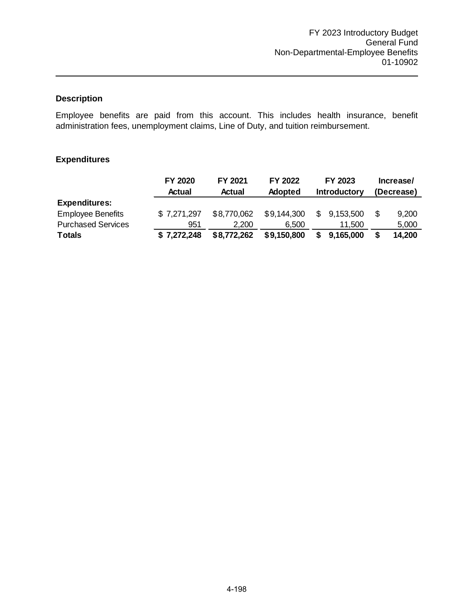Employee benefits are paid from this account. This includes health insurance, benefit administration fees, unemployment claims, Line of Duty, and tuition reimbursement.

|                           | FY 2020     | FY 2021<br>FY 2022 |                | FY 2023             |     | Increase/  |  |  |
|---------------------------|-------------|--------------------|----------------|---------------------|-----|------------|--|--|
|                           | Actual      | <b>Actual</b>      | <b>Adopted</b> | <b>Introductory</b> |     | (Decrease) |  |  |
| <b>Expenditures:</b>      |             |                    |                |                     |     |            |  |  |
| <b>Employee Benefits</b>  | \$7,271,297 | \$8,770,062        | \$9,144,300    | \$9,153,500         | \$. | 9,200      |  |  |
| <b>Purchased Services</b> | 951         | 2.200              | 6.500          | 11.500              |     | 5,000      |  |  |
| <b>Totals</b>             | \$7,272,248 | \$8,772,262        | \$9,150,800    | \$<br>9,165,000     |     | 14,200     |  |  |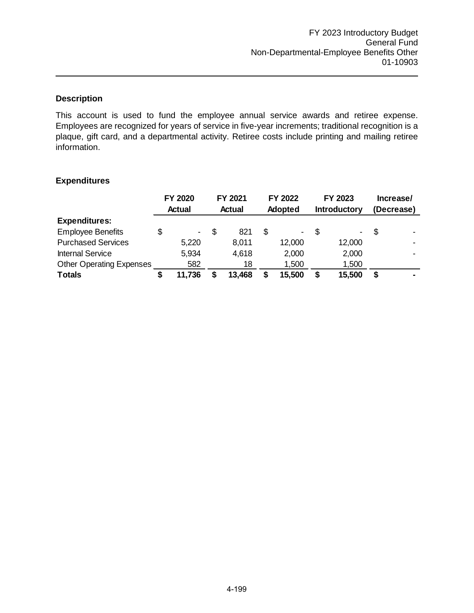This account is used to fund the employee annual service awards and retiree expense. Employees are recognized for years of service in five-year increments; traditional recognition is a plaque, gift card, and a departmental activity. Retiree costs include printing and mailing retiree information.

|                                 |   | FY 2020        | FY 2021   |   | FY 2022 |    | FY 2023             |      | Increase/      |
|---------------------------------|---|----------------|-----------|---|---------|----|---------------------|------|----------------|
|                                 |   | Actual         | Actual    |   | Adopted |    | <b>Introductory</b> |      | (Decrease)     |
| <b>Expenditures:</b>            |   |                |           |   |         |    |                     |      |                |
| <b>Employee Benefits</b>        | S | $\blacksquare$ | \$<br>821 | S | -       | -S | -                   | - \$ | $\blacksquare$ |
| <b>Purchased Services</b>       |   | 5,220          | 8,011     |   | 12,000  |    | 12,000              |      |                |
| <b>Internal Service</b>         |   | 5,934          | 4,618     |   | 2,000   |    | 2,000               |      |                |
| <b>Other Operating Expenses</b> |   | 582            | 18        |   | 1,500   |    | 1,500               |      |                |
| <b>Totals</b>                   |   | 11,736         | 13,468    |   | 15,500  |    | 15,500              | \$   | ۰              |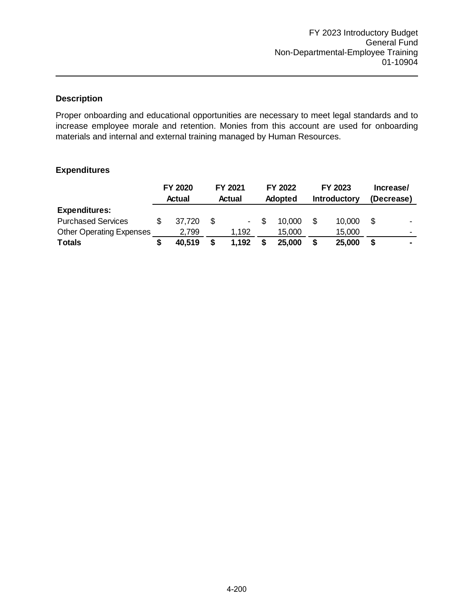Proper onboarding and educational opportunities are necessary to meet legal standards and to increase employee morale and retention. Monies from this account are used for onboarding materials and internal and external training managed by Human Resources.

|                                 | FY 2020 |    | FY 2021        | FY 2022        | FY 2023             |     | Increase/                |
|---------------------------------|---------|----|----------------|----------------|---------------------|-----|--------------------------|
|                                 | Actual  |    | Actual         | <b>Adopted</b> | <b>Introductory</b> |     | (Decrease)               |
| <b>Expenditures:</b>            |         |    |                |                |                     |     |                          |
| <b>Purchased Services</b>       | 37.720  | -S | $\blacksquare$ | 10,000         | 10,000              | \$. | $\blacksquare$           |
| <b>Other Operating Expenses</b> | 2,799   |    | 1,192          | 15,000         | 15,000              |     | $\overline{\phantom{0}}$ |
| <b>Totals</b>                   | 40,519  |    | 1,192          | 25,000         | 25,000              | S   | $\blacksquare$           |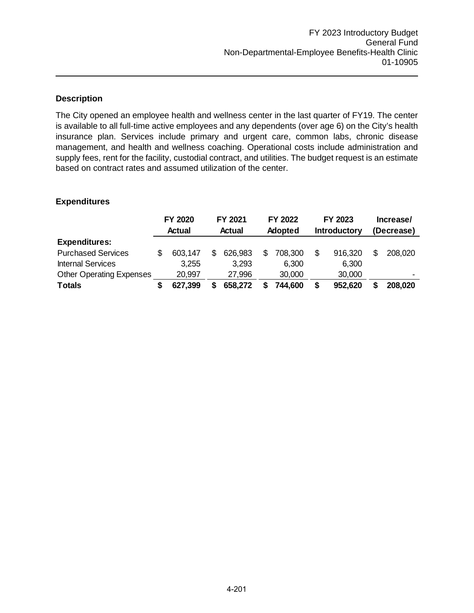The City opened an employee health and wellness center in the last quarter of FY19. The center is available to all full-time active employees and any dependents (over age 6) on the City's health insurance plan. Services include primary and urgent care, common labs, chronic disease management, and health and wellness coaching. Operational costs include administration and supply fees, rent for the facility, custodial contract, and utilities. The budget request is an estimate based on contract rates and assumed utilization of the center.

|                                 | FY 2020 |   | FY 2021<br>FY 2022 |    | FY 2023        |  | Increase/           |  |                          |
|---------------------------------|---------|---|--------------------|----|----------------|--|---------------------|--|--------------------------|
|                                 | Actual  |   | Actual             |    | <b>Adopted</b> |  | <b>Introductory</b> |  | (Decrease)               |
| <b>Expenditures:</b>            |         |   |                    |    |                |  |                     |  |                          |
| <b>Purchased Services</b>       | 603,147 | S | 626,983            | S. | 708,300        |  | 916,320             |  | 208,020                  |
| <b>Internal Services</b>        | 3,255   |   | 3.293              |    | 6,300          |  | 6,300               |  |                          |
| <b>Other Operating Expenses</b> | 20,997  |   | 27,996             |    | 30,000         |  | 30,000              |  | $\overline{\phantom{0}}$ |
| <b>Totals</b>                   | 627,399 | S | 658,272            |    | 744,600        |  | 952,620             |  | 208,020                  |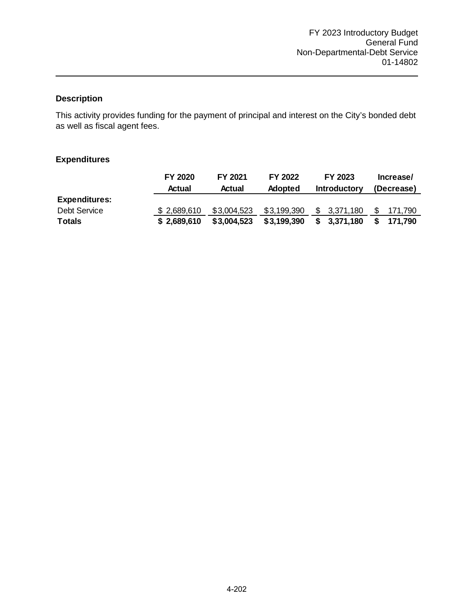This activity provides funding for the payment of principal and interest on the City's bonded debt as well as fiscal agent fees.

|                      | FY 2020     | FY 2021     | FY 2022        | FY 2023             | Increase/     |
|----------------------|-------------|-------------|----------------|---------------------|---------------|
|                      | Actual      | Actual      | <b>Adopted</b> | <b>Introductory</b> | (Decrease)    |
| <b>Expenditures:</b> |             |             |                |                     |               |
| <b>Debt Service</b>  | \$2,689,610 | \$3,004,523 | \$3,199,390    | \$3,371,180         | S.<br>171.790 |
| <b>Totals</b>        | \$2,689,610 | \$3,004,523 | \$3,199,390    | \$3,371,180         | \$171.790     |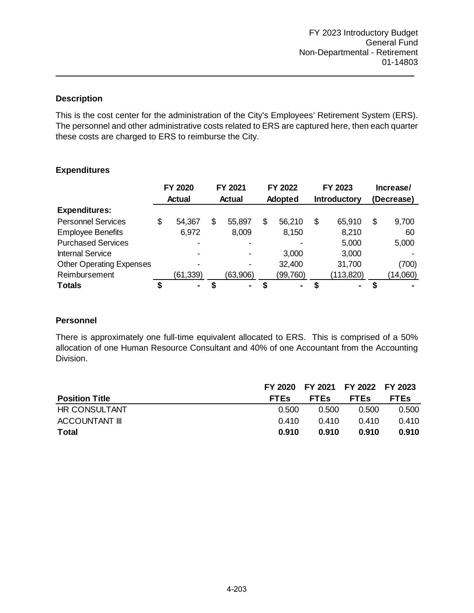This is the cost center for the administration of the City's Employees' Retirement System (ERS). The personnel and other administrative costs related to ERS are captured here, then each quarter these costs are charged to ERS to reimburse the City.

## **Expenditures**

|                                 |    | FY 2020        |    | FY 2021       | FY 2022        |    | FY 2023             | Increase/   |
|---------------------------------|----|----------------|----|---------------|----------------|----|---------------------|-------------|
|                                 |    | <b>Actual</b>  |    | <b>Actual</b> | Adopted        |    | <b>Introductory</b> | (Decrease)  |
| <b>Expenditures:</b>            |    |                |    |               |                |    |                     |             |
| <b>Personnel Services</b>       | \$ | 54,367         | \$ | 55,897        | \$<br>56,210   | \$ | 65,910              | \$<br>9,700 |
| <b>Employee Benefits</b>        |    | 6,972          |    | 8,009         | 8,150          |    | 8,210               | 60          |
| <b>Purchased Services</b>       |    |                |    |               | $\blacksquare$ |    | 5,000               | 5,000       |
| <b>Internal Service</b>         |    | $\blacksquare$ |    |               | 3,000          |    | 3,000               |             |
| <b>Other Operating Expenses</b> |    |                |    |               | 32,400         |    | 31,700              | (700)       |
| Reimbursement                   |    | (61, 339)      |    | (63,906)      | (99, 760)      |    | (113, 820)          | (14,060)    |
| <b>Totals</b>                   | œ  | ٠              | S  | ۰.            | $\blacksquare$ | S  | ۰                   |             |

## **Personnel**

There is approximately one full-time equivalent allocated to ERS. This is comprised of a 50% allocation of one Human Resource Consultant and 40% of one Accountant from the Accounting Division.

|                       |             | FY 2020 FY 2021 FY 2022 FY 2023 |             |             |
|-----------------------|-------------|---------------------------------|-------------|-------------|
| <b>Position Title</b> | <b>FTES</b> | <b>FTES</b>                     | <b>FTEs</b> | <b>FTEs</b> |
| HR CONSULTANT         | 0.500       | 0.500                           | 0.500       | 0.500       |
| <b>ACCOUNTANT III</b> | 0.410       | 0.410                           | 0.410       | 0.410       |
| Total                 | 0.910       | 0.910                           | 0.910       | 0.910       |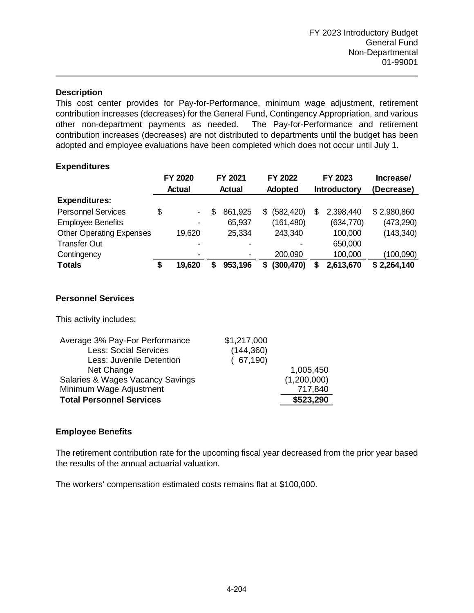This cost center provides for Pay-for-Performance, minimum wage adjustment, retirement contribution increases (decreases) for the General Fund, Contingency Appropriation, and various other non-department payments as needed. The Pay-for-Performance and retirement contribution increases (decreases) are not distributed to departments until the budget has been adopted and employee evaluations have been completed which does not occur until July 1.

## **Expenditures**

|                                 |               | FY 2020        |               | FY 2021 |         | FY 2022        |              | FY 2023    | Increase/   |  |
|---------------------------------|---------------|----------------|---------------|---------|---------|----------------|--------------|------------|-------------|--|
|                                 | <b>Actual</b> |                | <b>Actual</b> |         | Adopted |                | Introductory |            | (Decrease)  |  |
| <b>Expenditures:</b>            |               |                |               |         |         |                |              |            |             |  |
| <b>Personnel Services</b>       | \$            | $\blacksquare$ | S             | 861,925 | S.      | (582, 420)     | \$           | 2,398,440  | \$2,980,860 |  |
| <b>Employee Benefits</b>        |               | -              |               | 65,937  |         | (161, 480)     |              | (634, 770) | (473,290)   |  |
| <b>Other Operating Expenses</b> |               | 19,620         |               | 25,334  |         | 243,340        |              | 100,000    | (143, 340)  |  |
| <b>Transfer Out</b>             |               |                |               |         |         | $\blacksquare$ |              | 650,000    |             |  |
| Contingency                     |               | -              |               |         |         | 200,090        |              | 100,000    | (100,090)   |  |
| <b>Totals</b>                   | S             | 19,620         | S             | 953,196 | 5       | (300, 470)     | S            | 2,613,670  | \$2,264,140 |  |

## **Personnel Services**

This activity includes:

| Average 3% Pay-For Performance   | \$1,217,000 |             |
|----------------------------------|-------------|-------------|
| <b>Less: Social Services</b>     | (144, 360)  |             |
| Less: Juvenile Detention         | (67, 190)   |             |
| Net Change                       |             | 1,005,450   |
| Salaries & Wages Vacancy Savings |             | (1,200,000) |
| Minimum Wage Adjustment          |             | 717,840     |
| <b>Total Personnel Services</b>  |             | \$523,290   |
|                                  |             |             |

## **Employee Benefits**

The retirement contribution rate for the upcoming fiscal year decreased from the prior year based the results of the annual actuarial valuation.

The workers' compensation estimated costs remains flat at \$100,000.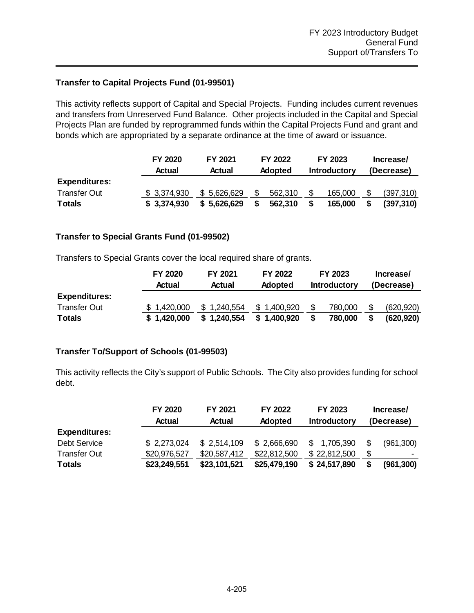## **Transfer to Capital Projects Fund (01-99501)**

This activity reflects support of Capital and Special Projects. Funding includes current revenues and transfers from Unreserved Fund Balance. Other projects included in the Capital and Special Projects Plan are funded by reprogrammed funds within the Capital Projects Fund and grant and bonds which are appropriated by a separate ordinance at the time of award or issuance.

|                      | FY 2020<br>Actual | FY 2021<br>Actual | FY 2022<br><b>Adopted</b> | FY 2023<br><b>Introductory</b> | Increase/<br>(Decrease) |            |  |
|----------------------|-------------------|-------------------|---------------------------|--------------------------------|-------------------------|------------|--|
| <b>Expenditures:</b> |                   |                   |                           |                                |                         |            |  |
| Transfer Out         | \$ 3,374,930      | \$5,626,629       | 562.310                   | 165,000                        |                         | (397, 310) |  |
| <b>Totals</b>        | \$3,374,930       | \$5,626,629       | 562,310                   | 165,000                        |                         | (397, 310) |  |

## **Transfer to Special Grants Fund (01-99502)**

Transfers to Special Grants cover the local required share of grants.

|                      | FY 2020     | FY 2021     | FY 2022        |                     | FY 2023 | Increase/  |            |  |
|----------------------|-------------|-------------|----------------|---------------------|---------|------------|------------|--|
|                      | Actual      | Actual      | <b>Adopted</b> | <b>Introductory</b> |         | (Decrease) |            |  |
| <b>Expenditures:</b> |             |             |                |                     |         |            |            |  |
| <b>Transfer Out</b>  | \$1,420,000 | \$1,240,554 | \$1.400,920    |                     | 780,000 |            | (620, 920) |  |
| <b>Totals</b>        | \$1,420,000 | \$1,240,554 | \$1,400,920    |                     | 780,000 |            | (620.920)  |  |

## **Transfer To/Support of Schools (01-99503)**

This activity reflects the City's support of Public Schools. The City also provides funding for school debt.

|                      | FY 2020      | FY 2021<br>FY 2022 |                | FY 2023             | Increase/  |                          |  |
|----------------------|--------------|--------------------|----------------|---------------------|------------|--------------------------|--|
|                      | Actual       | <b>Actual</b>      | <b>Adopted</b> | <b>Introductory</b> | (Decrease) |                          |  |
| <b>Expenditures:</b> |              |                    |                |                     |            |                          |  |
| <b>Debt Service</b>  | \$2,273,024  | \$2.514.109        | \$2,666,690    | \$<br>1,705,390     | S          | (961, 300)               |  |
| <b>Transfer Out</b>  | \$20,976,527 | \$20,587,412       | \$22,812,500   | \$22,812,500        | \$         | $\overline{\phantom{0}}$ |  |
| <b>Totals</b>        | \$23,249,551 | \$23,101,521       | \$25,479,190   | \$24,517,890        | \$         | (961, 300)               |  |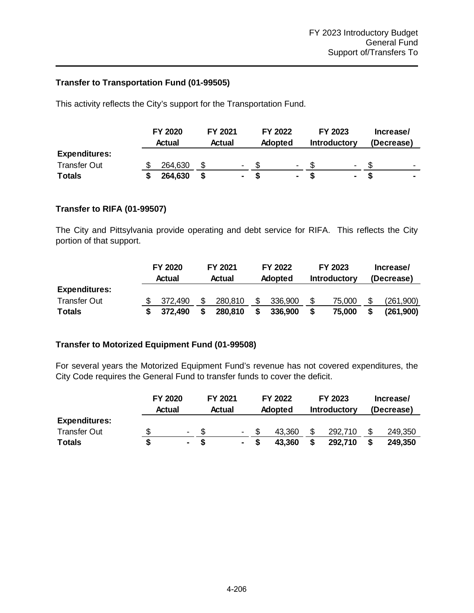## **Transfer to Transportation Fund (01-99505)**

This activity reflects the City's support for the Transportation Fund.

|                      |  | <b>FY 2020</b><br>Actual |  | FY 2021<br>Actual |  | FY 2022<br>Adopted |                | FY 2023<br><b>Introductory</b> |                          | Increase/<br>(Decrease) |                          |
|----------------------|--|--------------------------|--|-------------------|--|--------------------|----------------|--------------------------------|--------------------------|-------------------------|--------------------------|
|                      |  |                          |  |                   |  |                    |                |                                |                          |                         |                          |
| <b>Expenditures:</b> |  |                          |  |                   |  |                    |                |                                |                          |                         |                          |
| <b>Transfer Out</b>  |  | 264,630                  |  | $\blacksquare$    |  |                    | $\blacksquare$ |                                | $\overline{\phantom{0}}$ |                         | $\overline{\phantom{0}}$ |
| <b>Totals</b>        |  | 264,630                  |  | ۰.                |  |                    | ٠              |                                | ٠                        |                         | ٠                        |

## **Transfer to RIFA (01-99507)**

The City and Pittsylvania provide operating and debt service for RIFA. This reflects the City portion of that support.

|                      | FY 2020 |         | FY 2021 |         | FY 2022        |         | FY 2023             |        | Increase/  |           |
|----------------------|---------|---------|---------|---------|----------------|---------|---------------------|--------|------------|-----------|
|                      |         | Actual  | Actual  |         | <b>Adopted</b> |         | <b>Introductory</b> |        | (Decrease) |           |
| <b>Expenditures:</b> |         |         |         |         |                |         |                     |        |            |           |
| <b>Transfer Out</b>  |         | 372.490 |         | 280.810 |                | 336.900 |                     | 75,000 |            | (261,900) |
| <b>Totals</b>        |         | 372.490 | S       | 280,810 |                | 336,900 |                     | 75,000 |            | (261,900) |

## **Transfer to Motorized Equipment Fund (01-99508)**

For several years the Motorized Equipment Fund's revenue has not covered expenditures, the City Code requires the General Fund to transfer funds to cover the deficit.

|                      | <b>FY 2020</b>           |  | FY 2021                  |  | <b>FY 2022</b> |  | FY 2023             |  | Increase/  |  |
|----------------------|--------------------------|--|--------------------------|--|----------------|--|---------------------|--|------------|--|
|                      | Actual                   |  | <b>Actual</b>            |  | <b>Adopted</b> |  | <b>Introductory</b> |  | (Decrease) |  |
| <b>Expenditures:</b> |                          |  |                          |  |                |  |                     |  |            |  |
| <b>Transfer Out</b>  | $\overline{\phantom{0}}$ |  | $\overline{\phantom{a}}$ |  | 43.360         |  | 292,710             |  | 249,350    |  |
| <b>Totals</b>        | ۰                        |  | $\sim$                   |  | 43.360         |  | 292,710             |  | 249,350    |  |